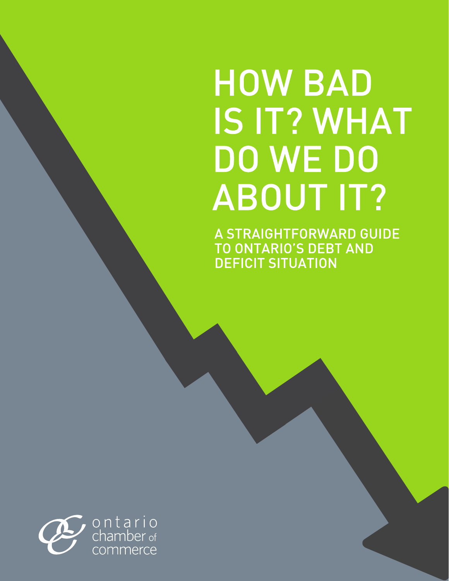# **HOW BAD IS IT? WHAT DO WE DO ABOUT IT?**

A STRAIGHTFORWARD GUIDE TO ONTARIO'S DEBT AND

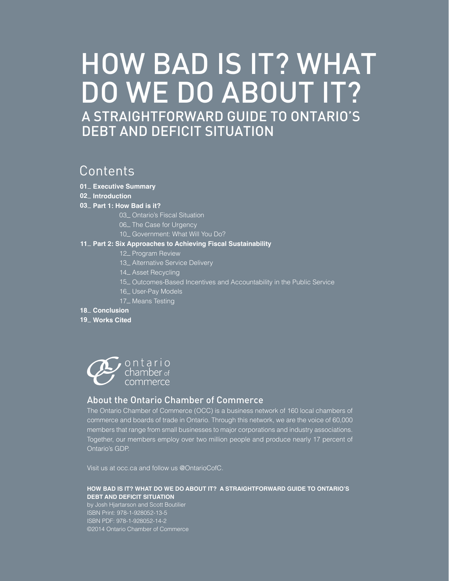# HOW BAD IS IT? WHAT DO WE DO ABOUT IT? A STRAIGHTFORWARD GUIDE TO ONTARIO'S DEBT AND DEFICIT SITUATION

# C Contents

- **Executive Summary 01**
- **Introduction 02**

# **Part 1: How Bad is it? 03**

- 03<sub>-</sub> Ontario's Fiscal Situation
- 06\_ The Case for Urgency
- 10\_ Government: What Will You Do?

#### **Part 2: Six Approaches to Achieving Fiscal Sustainability 11**

- 12\_ Program Review
- 13\_ Alternative Service Delivery
- 14<sub>-Asset Recycling</sub>
- 15 Outcomes-Based Incentives and Accountability in the Public Service
- 16<sub>-</sub> User-Pay Models
- 17\_ Means Testing

#### 18<sub>-</sub> Conclusion

**Works Cited 19**



# About the Ontario Chamber of Commerce

The Ontario Chamber of Commerce (OCC) is a business network of 160 local chambers of commerce and boards of trade in Ontario. Through this network, we are the voice of 60,000 members that range from small businesses to major corporations and industry associations. Together, our members employ over two million people and produce nearly 17 percent of Ontario's GDP.

Visit us at occ.ca and follow us @OntarioCofC.

# **How Bad is it? What do we do about it? A Straightforward Guide to Ontario's Debt and Deficit Situation**

by Josh Hjartarson and Scott Boutilier ISBN Print: 978-1-928052-13-5 ISBN PDF: 978-1-928052-14-2 ©2014 Ontario Chamber of Commerce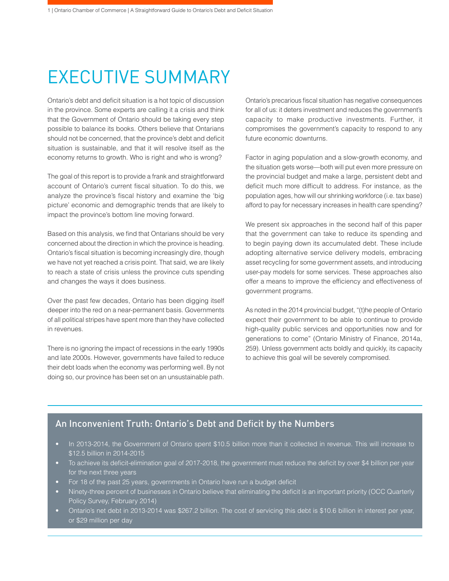# EXECUTIVE SUMMARY

Ontario's debt and deficit situation is a hot topic of discussion in the province. Some experts are calling it a crisis and think that the Government of Ontario should be taking every step possible to balance its books. Others believe that Ontarians should not be concerned, that the province's debt and deficit situation is sustainable, and that it will resolve itself as the economy returns to growth. Who is right and who is wrong?

The goal of this report is to provide a frank and straightforward account of Ontario's current fiscal situation. To do this, we analyze the province's fiscal history and examine the 'big picture' economic and demographic trends that are likely to impact the province's bottom line moving forward.

Based on this analysis, we find that Ontarians should be very concerned about the direction in which the province is heading. Ontario's fiscal situation is becoming increasingly dire, though we have not yet reached a crisis point. That said, we are likely to reach a state of crisis unless the province cuts spending and changes the ways it does business.

Over the past few decades, Ontario has been digging itself deeper into the red on a near-permanent basis. Governments of all political stripes have spent more than they have collected in revenues.

There is no ignoring the impact of recessions in the early 1990s and late 2000s. However, governments have failed to reduce their debt loads when the economy was performing well. By not doing so, our province has been set on an unsustainable path.

Ontario's precarious fiscal situation has negative consequences for all of us: it deters investment and reduces the government's capacity to make productive investments. Further, it compromises the government's capacity to respond to any future economic downturns.

Factor in aging population and a slow-growth economy, and the situation gets worse—both will put even more pressure on the provincial budget and make a large, persistent debt and deficit much more difficult to address. For instance, as the population ages, how will our shrinking workforce (i.e. tax base) afford to pay for necessary increases in health care spending?

We present six approaches in the second half of this paper that the government can take to reduce its spending and to begin paying down its accumulated debt. These include adopting alternative service delivery models, embracing asset recycling for some government assets, and introducing user-pay models for some services. These approaches also offer a means to improve the efficiency and effectiveness of government programs.

As noted in the 2014 provincial budget, "(t)he people of Ontario expect their government to be able to continue to provide high-quality public services and opportunities now and for generations to come" (Ontario Ministry of Finance, 2014a, 259). Unless government acts boldly and quickly, its capacity to achieve this goal will be severely compromised.

# An Inconvenient Truth: Ontario's Debt and Deficit by the Numbers

- In 2013-2014, the Government of Ontario spent \$10.5 billion more than it collected in revenue. This will increase to \$12.5 billion in 2014-2015
- To achieve its deficit-elimination goal of 2017-2018, the government must reduce the deficit by over \$4 billion per year for the next three years
- For 18 of the past 25 years, governments in Ontario have run a budget deficit
- Ninety-three percent of businesses in Ontario believe that eliminating the deficit is an important priority (OCC Quarterly Policy Survey, February 2014)
- Ontario's net debt in 2013-2014 was \$267.2 billion. The cost of servicing this debt is \$10.6 billion in interest per year, or \$29 million per day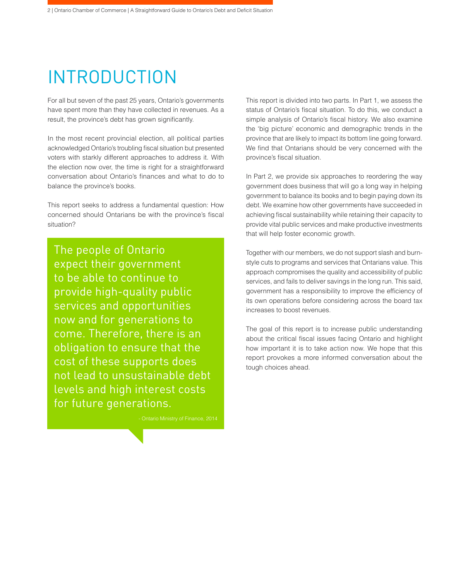# INTRODUCTION

For all but seven of the past 25 years, Ontario's governments have spent more than they have collected in revenues. As a result, the province's debt has grown significantly.

In the most recent provincial election, all political parties acknowledged Ontario's troubling fiscal situation but presented voters with starkly different approaches to address it. With the election now over, the time is right for a straightforward conversation about Ontario's finances and what to do to balance the province's books.

This report seeks to address a fundamental question: How concerned should Ontarians be with the province's fiscal situation?

The people of Ontario expect their government to be able to continue to provide high-quality public services and opportunities now and for generations to come. Therefore, there is an obligation to ensure that the cost of these supports does not lead to unsustainable debt levels and high interest costs for future generations.

This report is divided into two parts. In Part 1, we assess the status of Ontario's fiscal situation. To do this, we conduct a simple analysis of Ontario's fiscal history. We also examine the 'big picture' economic and demographic trends in the province that are likely to impact its bottom line going forward. We find that Ontarians should be very concerned with the province's fiscal situation.

In Part 2, we provide six approaches to reordering the way government does business that will go a long way in helping government to balance its books and to begin paying down its debt. We examine how other governments have succeeded in achieving fiscal sustainability while retaining their capacity to provide vital public services and make productive investments that will help foster economic growth.

Together with our members, we do not support slash and burnstyle cuts to programs and services that Ontarians value. This approach compromises the quality and accessibility of public services, and fails to deliver savings in the long run. This said, government has a responsibility to improve the efficiency of its own operations before considering across the board tax increases to boost revenues.

The goal of this report is to increase public understanding about the critical fiscal issues facing Ontario and highlight how important it is to take action now. We hope that this report provokes a more informed conversation about the tough choices ahead.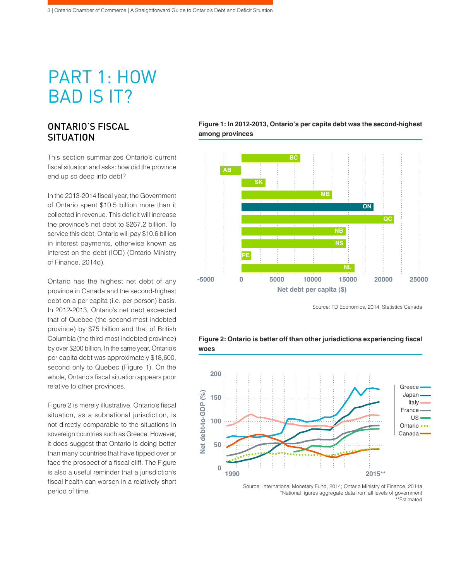# PART 1: HOW BAD IS IT?

# ONTARIO'S FISCAL **SITUATION**

This section summarizes Ontario's current fiscal situation and asks: how did the province end up so deep into debt?

In the 2013-2014 fiscal year, the Government of Ontario spent \$10.5 billion more than it collected in revenue. This deficit will increase the province's net debt to \$267.2 billion. To service this debt, Ontario will pay \$10.6 billion in interest payments, otherwise known as interest on the debt (IOD) (Ontario Ministry of Finance, 2014d).

Ontario has the highest net debt of any province in Canada and the second-highest debt on a per capita (i.e. per person) basis. In 2012-2013, Ontario's net debt exceeded that of Quebec (the second-most indebted province) by \$75 billion and that of British Columbia (the third-most indebted province) by over \$200 billion. In the same year, Ontario's per capita debt was approximately \$18,600, second only to Quebec (Figure 1). On the whole, Ontario's fiscal situation appears poor relative to other provinces.

Figure 2 is merely illustrative. Ontario's fiscal situation, as a subnational jurisdiction, is not directly comparable to the situations in sovereign countries such as Greece. However, it does suggest that Ontario is doing better than many countries that have tipped over or face the prospect of a fiscal cliff. The Figure is also a useful reminder that a jurisdiction's fiscal health can worsen in a relatively short period of time.

# **Figure 1: In 2012-2013, Ontario's per capita debt was the second-highest among provinces**



Source: TD Economics, 2014; Statistics Canada



# **Figure 2: Ontario is better off than other jurisdictions experiencing fiscal woes**

Source: International Monetary Fund, 2014; Ontario Ministry of Finance, 2014a \*National figures aggregate data from all levels of government -<br>\*\*Fstimated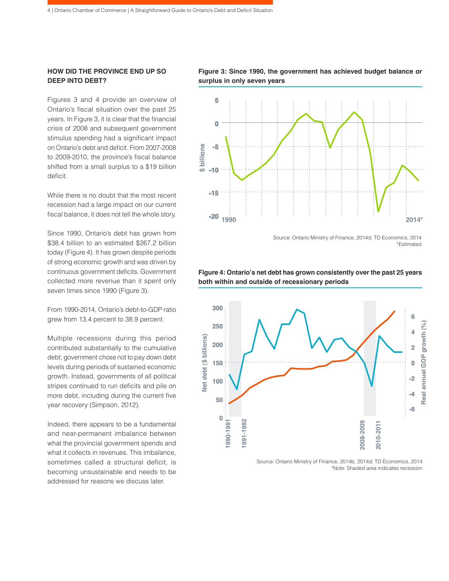# **HOW DID THE PROVINCE END UP SO DEEP INTO DEBT?**

Figures 3 and 4 provide an overview of Ontario's fiscal situation over the past 25 years. In Figure 3, it is clear that the financial crisis of 2008 and subsequent government stimulus spending had a significant impact on Ontario's debt and deficit. From 2007-2008 to 2009-2010, the province's fiscal balance shifted from a small surplus to a \$19 billion deficit.

While there is no doubt that the most recent recession had a large impact on our current fiscal balance, it does not tell the whole story.

Since 1990, Ontario's debt has grown from \$38.4 billion to an estimated \$267.2 billion today (Figure 4). It has grown despite periods of strong economic growth and was driven by continuous government deficits. Government collected more revenue than it spent only seven times since 1990 (Figure 3).

From 1990-2014, Ontario's debt-to-GDP ratio grew from 13.4 percent to 38.9 percent.

Multiple recessions during this period contributed substantially to the cumulative debt; government chose not to pay down debt levels during periods of sustained economic growth. Instead, governments of all political stripes continued to run deficits and pile on more debt, including during the current five year recovery (Simpson, 2012).

Indeed, there appears to be a fundamental and near-permanent imbalance between what the provincial government spends and what it collects in revenues. This imbalance, sometimes called a structural deficit, is becoming unsustainable and needs to be addressed for reasons we discuss later.





Source: Ontario Ministry of Finance, 2014d; TD Economics, 2014 \*Estimated



**Figure 4: Ontario's net debt has grown consistently over the past 25 years both within and outside of recessionary periods**

Source: Ontario Ministry of Finance, 2014b, 2014d; TD Economics, 2014 \*Note: Shaded area indicates recession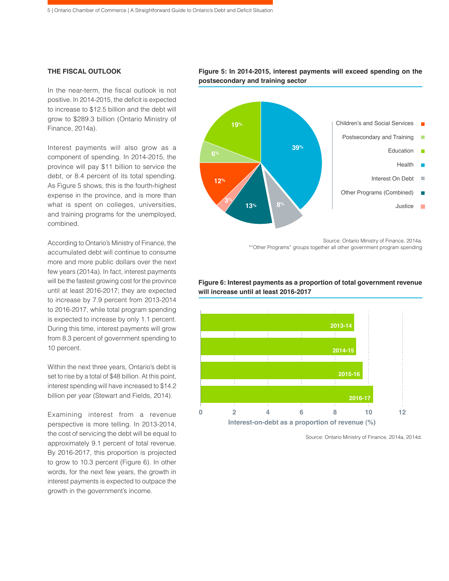#### **THE FISCAL OUTLOOK**

In the near-term, the fiscal outlook is not positive. In 2014-2015, the deficit is expected to increase to \$12.5 billion and the debt will grow to \$289.3 billion (Ontario Ministry of Finance, 2014a).

Interest payments will also grow as a component of spending. In 2014-2015, the province will pay \$11 billion to service the debt, or 8.4 percent of its total spending. As Figure 5 shows, this is the fourth-highest expense in the province, and is more than what is spent on colleges, universities, and training programs for the unemployed, combined.

According to Ontario's Ministry of Finance, the accumulated debt will continue to consume more and more public dollars over the next few years (2014a). In fact, interest payments will be the fastest growing cost for the province until at least 2016-2017; they are expected to increase by 7.9 percent from 2013-2014 to 2016-2017, while total program spending is expected to increase by only 1.1 percent. During this time, interest payments will grow from 8.3 percent of government spending to 10 percent.

Within the next three years, Ontario's debt is set to rise by a total of \$48 billion. At this point, interest spending will have increased to \$14.2 billion per year (Stewart and Fields, 2014).

Examining interest from a revenue perspective is more telling. In 2013-2014, the cost of servicing the debt will be equal to approximately 9.1 percent of total revenue. By 2016-2017, this proportion is projected to grow to 10.3 percent (Figure 6). In other words, for the next few years, the growth in interest payments is expected to outpace the growth in the government's income.

**Figure 5: In 2014-2015, interest payments will exceed spending on the postsecondary and training sector**



Source: Ontario Ministry of Finance, 2014a. \*"Other Programs" groups together all other government program spending



# **Figure 6: Interest payments as a proportion of total government revenue will increase until at least 2016-2017**

Source: Ontario Ministry of Finance, 2014a, 2014d.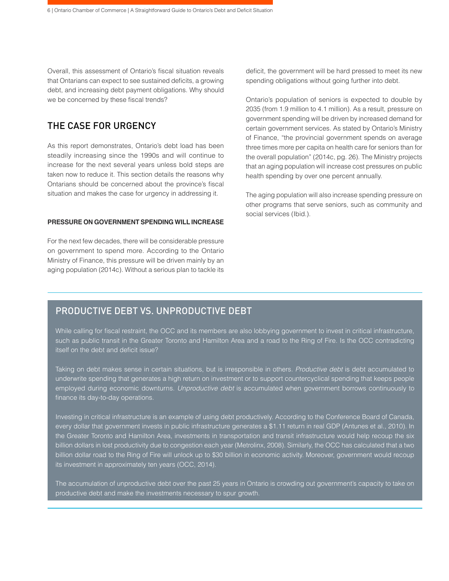Overall, this assessment of Ontario's fiscal situation reveals that Ontarians can expect to see sustained deficits, a growing debt, and increasing debt payment obligations. Why should we be concerned by these fiscal trends?

# THE CASE FOR URGENCY

As this report demonstrates, Ontario's debt load has been steadily increasing since the 1990s and will continue to increase for the next several years unless bold steps are taken now to reduce it. This section details the reasons why Ontarians should be concerned about the province's fiscal situation and makes the case for urgency in addressing it.

# **PRESSURE ON GOVERNMENT SPENDING WILL INCREASE**

For the next few decades, there will be considerable pressure on government to spend more. According to the Ontario Ministry of Finance, this pressure will be driven mainly by an aging population (2014c). Without a serious plan to tackle its deficit, the government will be hard pressed to meet its new spending obligations without going further into debt.

Ontario's population of seniors is expected to double by 2035 (from 1.9 million to 4.1 million). As a result, pressure on government spending will be driven by increased demand for certain government services. As stated by Ontario's Ministry of Finance, "the provincial government spends on average three times more per capita on health care for seniors than for the overall population" (2014c, pg. 26). The Ministry projects that an aging population will increase cost pressures on public health spending by over one percent annually.

The aging population will also increase spending pressure on other programs that serve seniors, such as community and social services (Ibid.).

# PRODUCTIVE DEBT VS. UNPRODUCTIVE DEBT

While calling for fiscal restraint, the OCC and its members are also lobbying government to invest in critical infrastructure, such as public transit in the Greater Toronto and Hamilton Area and a road to the Ring of Fire. Is the OCC contradicting itself on the debt and deficit issue?

Taking on debt makes sense in certain situations, but is irresponsible in others. *Productive debt* is debt accumulated to underwrite spending that generates a high return on investment or to support countercyclical spending that keeps people employed during economic downturns. *Unproductive debt* is accumulated when government borrows continuously to finance its day-to-day operations.

Investing in critical infrastructure is an example of using debt productively. According to the Conference Board of Canada, every dollar that government invests in public infrastructure generates a \$1.11 return in real GDP (Antunes et al., 2010). In the Greater Toronto and Hamilton Area, investments in transportation and transit infrastructure would help recoup the six billion dollars in lost productivity due to congestion each year (Metrolinx, 2008). Similarly, the OCC has calculated that a two billion dollar road to the Ring of Fire will unlock up to \$30 billion in economic activity. Moreover, government would recoup its investment in approximately ten years (OCC, 2014).

The accumulation of unproductive debt over the past 25 years in Ontario is crowding out government's capacity to take on productive debt and make the investments necessary to spur growth.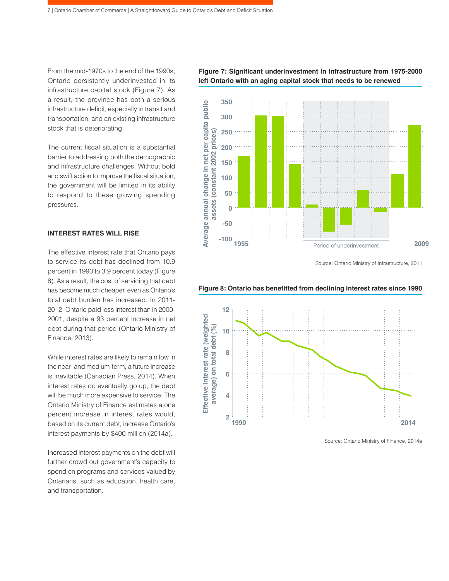From the mid-1970s to the end of the 1990s, Ontario persistently underinvested in its infrastructure capital stock (Figure 7). As a result, the province has both a serious infrastructure deficit, especially in transit and transportation, and an existing infrastructure stock that is deteriorating.

The current fiscal situation is a substantial barrier to addressing both the demographic and infrastructure challenges. Without bold and swift action to improve the fiscal situation, the government will be limited in its ability to respond to these growing spending pressures.

#### **INTEREST RATES WILL RISE**

The effective interest rate that Ontario pays to service its debt has declined from 10.9 percent in 1990 to 3.9 percent today (Figure 8). As a result, the cost of servicing that debt has become much cheaper, even as Ontario's total debt burden has increased. In 2011- 2012, Ontario paid less interest than in 2000- 2001, despite a 93 percent increase in net debt during that period (Ontario Ministry of Finance, 2013).

While interest rates are likely to remain low in the near- and medium-term, a future increase is inevitable (Canadian Press, 2014). When interest rates do eventually go up, the debt will be much more expensive to service. The Ontario Ministry of Finance estimates a one percent increase in interest rates would, based on its current debt, increase Ontario's interest payments by \$400 million (2014a).

Increased interest payments on the debt will further crowd out government's capacity to spend on programs and services valued by Ontarians, such as education, health care, and transportation.

**Figure 7: Significant underinvestment in infrastructure from 1975-2000 left Ontario with an aging capital stock that needs to be renewed**



Source: Ontario Ministry of Infrastructure, 2011





Source: Ontario Ministry of Finance, 2014a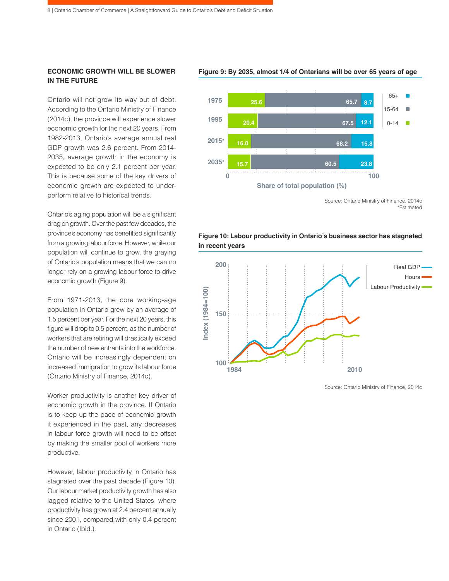# **ECONOMIC GROWTH WILL BE SLOWER IN THE FUTURE**

Ontario will not grow its way out of debt. According to the Ontario Ministry of Finance (2014c), the province will experience slower economic growth for the next 20 years. From 1982-2013, Ontario's average annual real GDP growth was 2.6 percent. From 2014- 2035, average growth in the economy is expected to be only 2.1 percent per year. This is because some of the key drivers of economic growth are expected to underperform relative to historical trends.

Ontario's aging population will be a significant drag on growth. Over the past few decades, the province's economy has benefitted significantly from a growing labour force. However, while our population will continue to grow, the graying of Ontario's population means that we can no longer rely on a growing labour force to drive economic growth (Figure 9).

From 1971-2013, the core working-age population in Ontario grew by an average of 1.5 percent per year. For the next 20 years, this figure will drop to 0.5 percent, as the number of workers that are retiring will drastically exceed the number of new entrants into the workforce. Ontario will be increasingly dependent on increased immigration to grow its labour force (Ontario Ministry of Finance, 2014c).

Worker productivity is another key driver of economic growth in the province. If Ontario is to keep up the pace of economic growth it experienced in the past, any decreases in labour force growth will need to be offset by making the smaller pool of workers more productive.

However, labour productivity in Ontario has stagnated over the past decade (Figure 10). Our labour market productivity growth has also lagged relative to the United States, where productivity has grown at 2.4 percent annually since 2001, compared with only 0.4 percent in Ontario (Ibid.).

#### **Figure 9: By 2035, almost 1/4 of Ontarians will be over 65 years of age**



Source: Ontario Ministry of Finance, 2014c \*Estimated





Source: Ontario Ministry of Finance, 2014c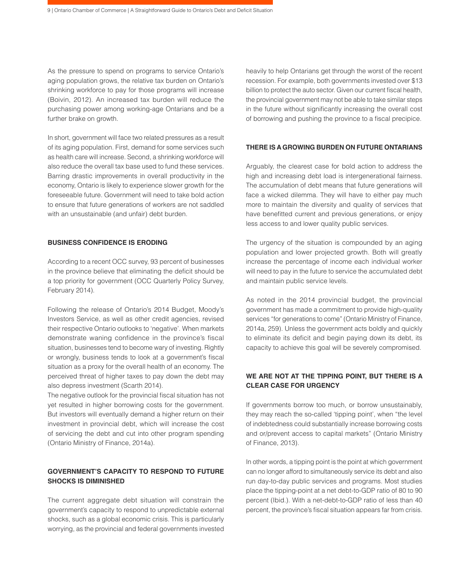As the pressure to spend on programs to service Ontario's aging population grows, the relative tax burden on Ontario's shrinking workforce to pay for those programs will increase (Boivin, 2012). An increased tax burden will reduce the purchasing power among working-age Ontarians and be a further brake on growth.

In short, government will face two related pressures as a result of its aging population. First, demand for some services such as health care will increase. Second, a shrinking workforce will also reduce the overall tax base used to fund these services. Barring drastic improvements in overall productivity in the economy, Ontario is likely to experience slower growth for the foreseeable future. Government will need to take bold action to ensure that future generations of workers are not saddled with an unsustainable (and unfair) debt burden.

# **BUSINESS CONFIDENCE IS ERODING**

According to a recent OCC survey, 93 percent of businesses in the province believe that eliminating the deficit should be a top priority for government (OCC Quarterly Policy Survey, February 2014).

Following the release of Ontario's 2014 Budget, Moody's Investors Service, as well as other credit agencies, revised their respective Ontario outlooks to 'negative'. When markets demonstrate waning confidence in the province's fiscal situation, businesses tend to become wary of investing. Rightly or wrongly, business tends to look at a government's fiscal situation as a proxy for the overall health of an economy. The perceived threat of higher taxes to pay down the debt may also depress investment (Scarth 2014).

The negative outlook for the provincial fiscal situation has not yet resulted in higher borrowing costs for the government. But investors will eventually demand a higher return on their investment in provincial debt, which will increase the cost of servicing the debt and cut into other program spending (Ontario Ministry of Finance, 2014a).

# **GOVERNMENT'S CAPACITY TO RESPOND TO FUTURE SHOCKS IS DIMINISHED**

The current aggregate debt situation will constrain the government's capacity to respond to unpredictable external shocks, such as a global economic crisis. This is particularly worrying, as the provincial and federal governments invested

heavily to help Ontarians get through the worst of the recent recession. For example, both governments invested over \$13 billion to protect the auto sector. Given our current fiscal health, the provincial government may not be able to take similar steps in the future without significantly increasing the overall cost of borrowing and pushing the province to a fiscal precipice.

#### **THERE IS A GROWING BURDEN ON FUTURE ONTARIANS**

Arguably, the clearest case for bold action to address the high and increasing debt load is intergenerational fairness. The accumulation of debt means that future generations will face a wicked dilemma. They will have to either pay much more to maintain the diversity and quality of services that have benefitted current and previous generations, or enjoy less access to and lower quality public services.

The urgency of the situation is compounded by an aging population and lower projected growth. Both will greatly increase the percentage of income each individual worker will need to pay in the future to service the accumulated debt and maintain public service levels.

As noted in the 2014 provincial budget, the provincial government has made a commitment to provide high-quality services "for generations to come" (Ontario Ministry of Finance, 2014a, 259). Unless the government acts boldly and quickly to eliminate its deficit and begin paying down its debt, its capacity to achieve this goal will be severely compromised.

# **WE ARE NOT AT THE TIPPING POINT, BUT THERE IS A CLEAR CASE FOR URGENCY**

If governments borrow too much, or borrow unsustainably, they may reach the so-called 'tipping point', when "the level of indebtedness could substantially increase borrowing costs and or/prevent access to capital markets" (Ontario Ministry of Finance, 2013).

In other words, a tipping point is the point at which government can no longer afford to simultaneously service its debt and also run day-to-day public services and programs. Most studies place the tipping-point at a net debt-to-GDP ratio of 80 to 90 percent (Ibid.). With a net-debt-to-GDP ratio of less than 40 percent, the province's fiscal situation appears far from crisis.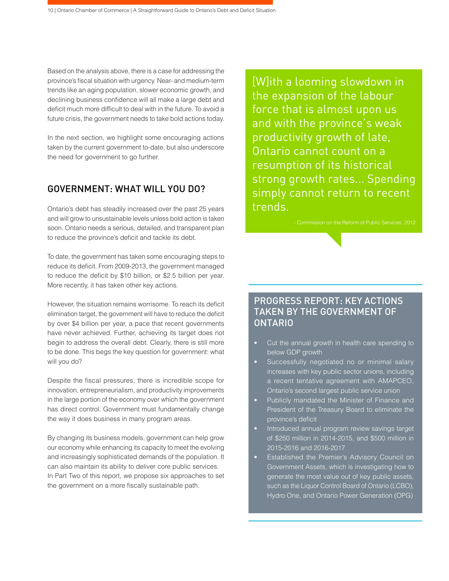Based on the analysis above, there is a case for addressing the province's fiscal situation with urgency. Near- and medium-term trends like an aging population, slower economic growth, and declining business confidence will all make a large debt and deficit much more difficult to deal with in the future. To avoid a future crisis, the government needs to take bold actions today.

In the next section, we highlight some encouraging actions taken by the current government to-date, but also underscore the need for government to go further.

# GOVERNMENT: WHAT WILL YOU DO?

Ontario's debt has steadily increased over the past 25 years and will grow to unsustainable levels unless bold action is taken soon. Ontario needs a serious, detailed, and transparent plan to reduce the province's deficit and tackle its debt.

To date, the government has taken some encouraging steps to reduce its deficit. From 2009-2013, the government managed to reduce the deficit by \$10 billion, or \$2.5 billion per year. More recently, it has taken other key actions.

However, the situation remains worrisome. To reach its deficit elimination target, the government will have to reduce the deficit by over \$4 billion per year, a pace that recent governments have never achieved. Further, achieving its target does not begin to address the overall debt. Clearly, there is still more to be done. This begs the key question for government: what will you do?

Despite the fiscal pressures, there is incredible scope for innovation, entrepreneurialism, and productivity improvements in the large portion of the economy over which the government has direct control. Government must fundamentally change the way it does business in many program areas.

By changing its business models, government can help grow our economy while enhancing its capacity to meet the evolving and increasingly sophisticated demands of the population. It can also maintain its ability to deliver core public services. In Part Two of this report, we propose six approaches to set the government on a more fiscally sustainable path.

[W]ith a looming slowdown in the expansion of the labour force that is almost upon us and with the province's weak productivity growth of late, Ontario cannot count on a resumption of its historical strong growth rates... Spending simply cannot return to recent trends.

# PROGRESS REPORT: KEY ACTIONS TAKEN BY THE GOVERNMENT OF ONTARIO

- Cut the annual growth in health care spending to below GDP growth
- Successfully negotiated no or minimal salary increases with key public sector unions, including a recent tentative agreement with AMAPCEO, Ontario's second largest public service union
- Publicly mandated the Minister of Finance and President of the Treasury Board to eliminate the province's deficit
- Introduced annual program review savings target of \$250 million in 2014-2015, and \$500 million in 2015-2016 and 2016-2017
- Established the Premier's Advisory Council on Government Assets, which is investigating how to generate the most value out of key public assets, such as the Liquor Control Board of Ontario (LCBO), Hydro One, and Ontario Power Generation (OPG)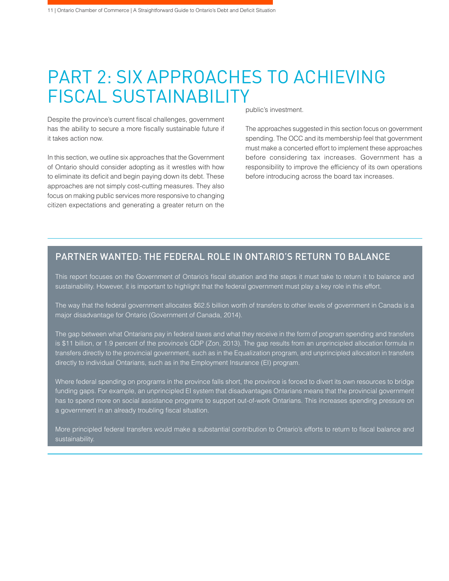# PART 2: SIX APPROACHES TO ACHIEVING FISCAL SUSTAINABILITY

Despite the province's current fiscal challenges, government has the ability to secure a more fiscally sustainable future if it takes action now.

In this section, we outline six approaches that the Government of Ontario should consider adopting as it wrestles with how to eliminate its deficit and begin paying down its debt. These approaches are not simply cost-cutting measures. They also focus on making public services more responsive to changing citizen expectations and generating a greater return on the

public's investment.

The approaches suggested in this section focus on government spending. The OCC and its membership feel that government must make a concerted effort to implement these approaches before considering tax increases. Government has a responsibility to improve the efficiency of its own operations before introducing across the board tax increases.

# PARTNER WANTED: THE FEDERAL ROLE IN ONTARIO'S RETURN TO BALANCE

This report focuses on the Government of Ontario's fiscal situation and the steps it must take to return it to balance and sustainability. However, it is important to highlight that the federal government must play a key role in this effort.

The way that the federal government allocates \$62.5 billion worth of transfers to other levels of government in Canada is a major disadvantage for Ontario (Government of Canada, 2014).

The gap between what Ontarians pay in federal taxes and what they receive in the form of program spending and transfers is \$11 billion, or 1.9 percent of the province's GDP (Zon, 2013). The gap results from an unprincipled allocation formula in transfers directly to the provincial government, such as in the Equalization program, and unprincipled allocation in transfers directly to individual Ontarians, such as in the Employment Insurance (EI) program.

Where federal spending on programs in the province falls short, the province is forced to divert its own resources to bridge funding gaps. For example, an unprincipled EI system that disadvantages Ontarians means that the provincial government has to spend more on social assistance programs to support out-of-work Ontarians. This increases spending pressure on a government in an already troubling fiscal situation.

More principled federal transfers would make a substantial contribution to Ontario's efforts to return to fiscal balance and sustainability.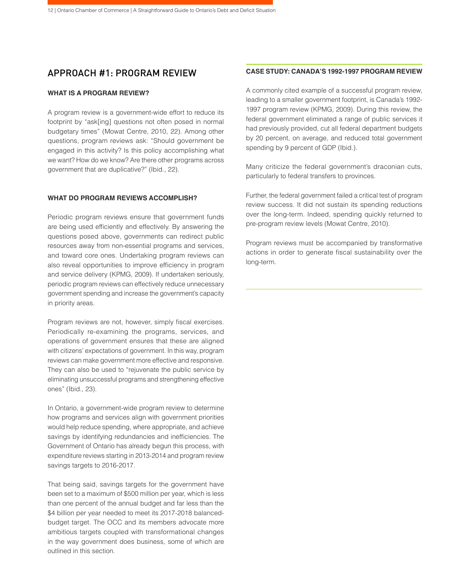# APPROACH #1: PROGRAM REVIEW

#### **WHAT IS A PROGRAM REVIEW?**

A program review is a government-wide effort to reduce its footprint by "ask[ing] questions not often posed in normal budgetary times" (Mowat Centre, 2010, 22). Among other questions, program reviews ask: "Should government be engaged in this activity? Is this policy accomplishing what we want? How do we know? Are there other programs across government that are duplicative?" (Ibid., 22).

### **WHAT DO PROGRAM REVIEWS ACCOMPLISH?**

Periodic program reviews ensure that government funds are being used efficiently and effectively. By answering the questions posed above, governments can redirect public resources away from non-essential programs and services, and toward core ones. Undertaking program reviews can also reveal opportunities to improve efficiency in program and service delivery (KPMG, 2009). If undertaken seriously, periodic program reviews can effectively reduce unnecessary government spending and increase the government's capacity in priority areas.

Program reviews are not, however, simply fiscal exercises. Periodically re-examining the programs, services, and operations of government ensures that these are aligned with citizens' expectations of government. In this way, program reviews can make government more effective and responsive. They can also be used to "rejuvenate the public service by eliminating unsuccessful programs and strengthening effective ones" (Ibid., 23).

In Ontario, a government-wide program review to determine how programs and services align with government priorities would help reduce spending, where appropriate, and achieve savings by identifying redundancies and inefficiencies. The Government of Ontario has already begun this process, with expenditure reviews starting in 2013-2014 and program review savings targets to 2016-2017.

That being said, savings targets for the government have been set to a maximum of \$500 million per year, which is less than one percent of the annual budget and far less than the \$4 billion per year needed to meet its 2017-2018 balancedbudget target. The OCC and its members advocate more ambitious targets coupled with transformational changes in the way government does business, some of which are outlined in this section.

#### **CASE STUDY: CANADA'S 1992-1997 PROGRAM REVIEW**

A commonly cited example of a successful program review, leading to a smaller government footprint, is Canada's 1992- 1997 program review (KPMG, 2009). During this review, the federal government eliminated a range of public services it had previously provided, cut all federal department budgets by 20 percent, on average, and reduced total government spending by 9 percent of GDP (Ibid.).

Many criticize the federal government's draconian cuts, particularly to federal transfers to provinces.

Further, the federal government failed a critical test of program review success. It did not sustain its spending reductions over the long-term. Indeed, spending quickly returned to pre-program review levels (Mowat Centre, 2010).

Program reviews must be accompanied by transformative actions in order to generate fiscal sustainability over the long-term.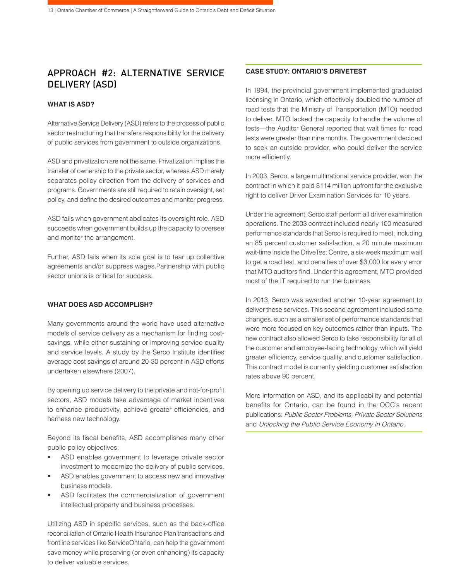# APPROACH #2: ALTERNATIVE SERVICE DELIVERY (ASD)

# **WHAT IS ASD?**

Alternative Service Delivery (ASD) refers to the process of public sector restructuring that transfers responsibility for the delivery of public services from government to outside organizations.

ASD and privatization are not the same. Privatization implies the transfer of ownership to the private sector, whereas ASD merely separates policy direction from the delivery of services and programs. Governments are still required to retain oversight, set policy, and define the desired outcomes and monitor progress.

ASD fails when government abdicates its oversight role. ASD succeeds when government builds up the capacity to oversee and monitor the arrangement.

Further, ASD fails when its sole goal is to tear up collective agreements and/or suppress wages.Partnership with public sector unions is critical for success.

# **WHAT DOES ASD ACCOMPLISH?**

Many governments around the world have used alternative models of service delivery as a mechanism for finding costsavings, while either sustaining or improving service quality and service levels. A study by the Serco Institute identifies average cost savings of around 20-30 percent in ASD efforts undertaken elsewhere (2007).

By opening up service delivery to the private and not-for-profit sectors, ASD models take advantage of market incentives to enhance productivity, achieve greater efficiencies, and harness new technology.

Beyond its fiscal benefits, ASD accomplishes many other public policy objectives:

- ASD enables government to leverage private sector investment to modernize the delivery of public services.
- ASD enables government to access new and innovative business models.
- ASD facilitates the commercialization of government intellectual property and business processes.

Utilizing ASD in specific services, such as the back-office reconciliation of Ontario Health Insurance Plan transactions and frontline services like ServiceOntario, can help the government save money while preserving (or even enhancing) its capacity to deliver valuable services.

#### **CASE STUDY: ONTARIO'S DRIVETEST**

In 1994, the provincial government implemented graduated licensing in Ontario, which effectively doubled the number of road tests that the Ministry of Transportation (MTO) needed to deliver. MTO lacked the capacity to handle the volume of tests—the Auditor General reported that wait times for road tests were greater than nine months. The government decided to seek an outside provider, who could deliver the service more efficiently.

In 2003, Serco, a large multinational service provider, won the contract in which it paid \$114 million upfront for the exclusive right to deliver Driver Examination Services for 10 years.

Under the agreement, Serco staff perform all driver examination operations. The 2003 contract included nearly 100 measured performance standards that Serco is required to meet, including an 85 percent customer satisfaction, a 20 minute maximum wait-time inside the DriveTest Centre, a six-week maximum wait to get a road test, and penalties of over \$3,000 for every error that MTO auditors find. Under this agreement, MTO provided most of the IT required to run the business.

In 2013, Serco was awarded another 10-year agreement to deliver these services. This second agreement included some changes, such as a smaller set of performance standards that were more focused on key outcomes rather than inputs. The new contract also allowed Serco to take responsibility for all of the customer and employee-facing technology, which will yield greater efficiency, service quality, and customer satisfaction. This contract model is currently yielding customer satisfaction rates above 90 percent.

More information on ASD, and its applicability and potential benefits for Ontario, can be found in the OCC's recent publications: Public Sector Problems, Private Sector Solutions and Unlocking the Public Service Economy in Ontario.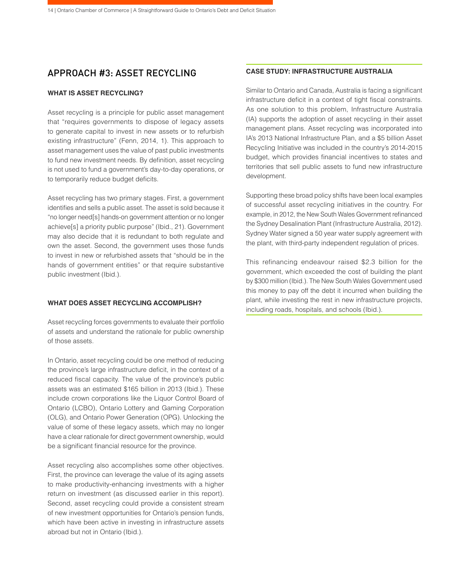# APPROACH #3: ASSET RECYCLING

### **WHAT IS ASSET RECYCLING?**

Asset recycling is a principle for public asset management that "requires governments to dispose of legacy assets to generate capital to invest in new assets or to refurbish existing infrastructure" (Fenn, 2014, 1). This approach to asset management uses the value of past public investments to fund new investment needs. By definition, asset recycling is not used to fund a government's day-to-day operations, or to temporarily reduce budget deficits.

Asset recycling has two primary stages. First, a government identifies and sells a public asset. The asset is sold because it "no longer need[s] hands-on government attention or no longer achieve[s] a priority public purpose" (Ibid., 21). Government may also decide that it is redundant to both regulate and own the asset. Second, the government uses those funds to invest in new or refurbished assets that "should be in the hands of government entities" or that require substantive public investment (Ibid.).

### **WHAT DOES ASSET RECYCLING ACCOMPLISH?**

Asset recycling forces governments to evaluate their portfolio of assets and understand the rationale for public ownership of those assets.

In Ontario, asset recycling could be one method of reducing the province's large infrastructure deficit, in the context of a reduced fiscal capacity. The value of the province's public assets was an estimated \$165 billion in 2013 (Ibid.). These include crown corporations like the Liquor Control Board of Ontario (LCBO), Ontario Lottery and Gaming Corporation (OLG), and Ontario Power Generation (OPG). Unlocking the value of some of these legacy assets, which may no longer have a clear rationale for direct government ownership, would be a significant financial resource for the province.

Asset recycling also accomplishes some other objectives. First, the province can leverage the value of its aging assets to make productivity-enhancing investments with a higher return on investment (as discussed earlier in this report). Second, asset recycling could provide a consistent stream of new investment opportunities for Ontario's pension funds, which have been active in investing in infrastructure assets abroad but not in Ontario (Ibid.).

#### **CASE STUDY: INFRASTRUCTURE AUSTRALIA**

Similar to Ontario and Canada, Australia is facing a significant infrastructure deficit in a context of tight fiscal constraints. As one solution to this problem, Infrastructure Australia (IA) supports the adoption of asset recycling in their asset management plans. Asset recycling was incorporated into IA's 2013 National Infrastructure Plan, and a \$5 billion Asset Recycling Initiative was included in the country's 2014-2015 budget, which provides financial incentives to states and territories that sell public assets to fund new infrastructure development.

Supporting these broad policy shifts have been local examples of successful asset recycling initiatives in the country. For example, in 2012, the New South Wales Government refinanced the Sydney Desalination Plant (Infrastructure Australia, 2012). Sydney Water signed a 50 year water supply agreement with the plant, with third-party independent regulation of prices.

This refinancing endeavour raised \$2.3 billion for the government, which exceeded the cost of building the plant by \$300 million (Ibid.). The New South Wales Government used this money to pay off the debt it incurred when building the plant, while investing the rest in new infrastructure projects, including roads, hospitals, and schools (Ibid.).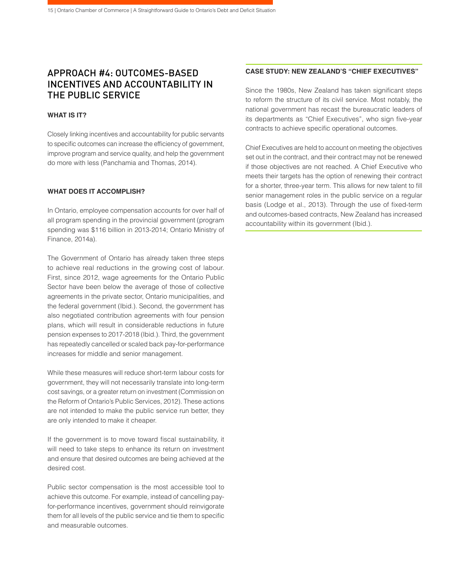# APPROACH #4: OUTCOMES-BASED INCENTIVES AND ACCOUNTABILITY IN THE PUBLIC SERVICE

### **WHAT IS IT?**

Closely linking incentives and accountability for public servants to specific outcomes can increase the efficiency of government, improve program and service quality, and help the government do more with less (Panchamia and Thomas, 2014).

### **WHAT DOES IT ACCOMPLISH?**

In Ontario, employee compensation accounts for over half of all program spending in the provincial government (program spending was \$116 billion in 2013-2014; Ontario Ministry of Finance, 2014a).

The Government of Ontario has already taken three steps to achieve real reductions in the growing cost of labour. First, since 2012, wage agreements for the Ontario Public Sector have been below the average of those of collective agreements in the private sector, Ontario municipalities, and the federal government (Ibid.). Second, the government has also negotiated contribution agreements with four pension plans, which will result in considerable reductions in future pension expenses to 2017-2018 (Ibid.). Third, the government has repeatedly cancelled or scaled back pay-for-performance increases for middle and senior management.

While these measures will reduce short-term labour costs for government, they will not necessarily translate into long-term cost savings, or a greater return on investment (Commission on the Reform of Ontario's Public Services, 2012). These actions are not intended to make the public service run better, they are only intended to make it cheaper.

If the government is to move toward fiscal sustainability, it will need to take steps to enhance its return on investment and ensure that desired outcomes are being achieved at the desired cost.

Public sector compensation is the most accessible tool to achieve this outcome. For example, instead of cancelling payfor-performance incentives, government should reinvigorate them for all levels of the public service and tie them to specific and measurable outcomes.

### **CASE STUDY: NEW ZEALAND'S "CHIEF EXECUTIVES"**

Since the 1980s, New Zealand has taken significant steps to reform the structure of its civil service. Most notably, the national government has recast the bureaucratic leaders of its departments as "Chief Executives", who sign five-year contracts to achieve specific operational outcomes.

Chief Executives are held to account on meeting the objectives set out in the contract, and their contract may not be renewed if those objectives are not reached. A Chief Executive who meets their targets has the option of renewing their contract for a shorter, three-year term. This allows for new talent to fill senior management roles in the public service on a regular basis (Lodge et al., 2013). Through the use of fixed-term and outcomes-based contracts, New Zealand has increased accountability within its government (Ibid.).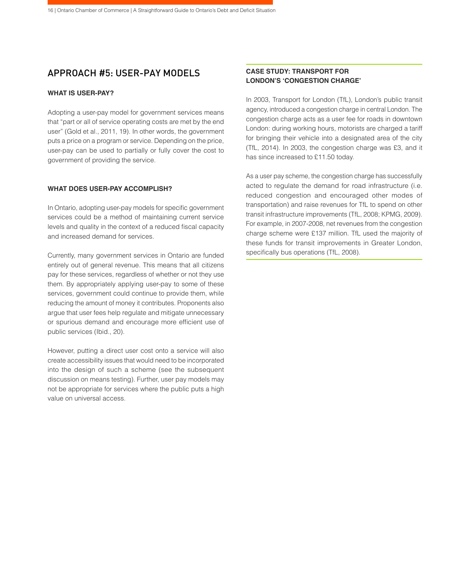# APPROACH #5: USER-PAY MODELS

# **WHAT IS USER-PAY?**

Adopting a user-pay model for government services means that "part or all of service operating costs are met by the end user" (Gold et al., 2011, 19). In other words, the government puts a price on a program or service. Depending on the price, user-pay can be used to partially or fully cover the cost to government of providing the service.

### **WHAT DOES USER-PAY ACCOMPLISH?**

In Ontario, adopting user-pay models for specific government services could be a method of maintaining current service levels and quality in the context of a reduced fiscal capacity and increased demand for services.

Currently, many government services in Ontario are funded entirely out of general revenue. This means that all citizens pay for these services, regardless of whether or not they use them. By appropriately applying user-pay to some of these services, government could continue to provide them, while reducing the amount of money it contributes. Proponents also argue that user fees help regulate and mitigate unnecessary or spurious demand and encourage more efficient use of public services (Ibid., 20).

However, putting a direct user cost onto a service will also create accessibility issues that would need to be incorporated into the design of such a scheme (see the subsequent discussion on means testing). Further, user pay models may not be appropriate for services where the public puts a high value on universal access.

# **CASE STUDY: TRANSPORT FOR LONDON'S 'CONGESTION CHARGE'**

In 2003, Transport for London (TfL), London's public transit agency, introduced a congestion charge in central London. The congestion charge acts as a user fee for roads in downtown London: during working hours, motorists are charged a tariff for bringing their vehicle into a designated area of the city (TfL, 2014). In 2003, the congestion charge was £3, and it has since increased to £11.50 today.

As a user pay scheme, the congestion charge has successfully acted to regulate the demand for road infrastructure (i.e. reduced congestion and encouraged other modes of transportation) and raise revenues for TfL to spend on other transit infrastructure improvements (TfL, 2008; KPMG, 2009). For example, in 2007-2008, net revenues from the congestion charge scheme were £137 million. TfL used the majority of these funds for transit improvements in Greater London, specifically bus operations (TfL, 2008).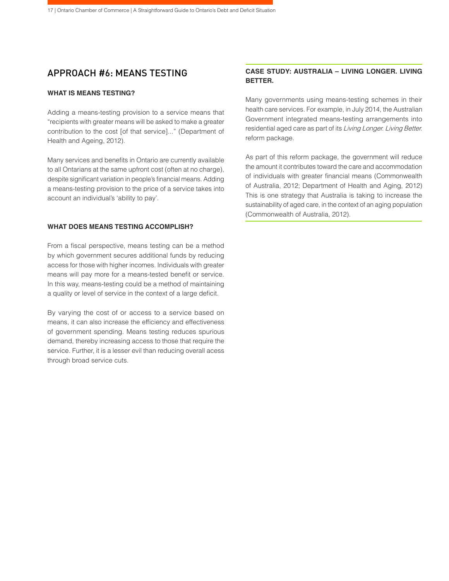# APPROACH #6: MEANS TESTING

#### **WHAT IS MEANS TESTING?**

Adding a means-testing provision to a service means that "recipients with greater means will be asked to make a greater contribution to the cost [of that service]..." (Department of Health and Ageing, 2012).

Many services and benefits in Ontario are currently available to all Ontarians at the same upfront cost (often at no charge), despite significant variation in people's financial means. Adding a means-testing provision to the price of a service takes into account an individual's 'ability to pay'.

### **WHAT DOES MEANS TESTING ACCOMPLISH?**

From a fiscal perspective, means testing can be a method by which government secures additional funds by reducing access for those with higher incomes. Individuals with greater means will pay more for a means-tested benefit or service. In this way, means-testing could be a method of maintaining a quality or level of service in the context of a large deficit.

By varying the cost of or access to a service based on means, it can also increase the efficiency and effectiveness of government spending. Means testing reduces spurious demand, thereby increasing access to those that require the service. Further, it is a lesser evil than reducing overall acess through broad service cuts.

# **CASE STUDY: AUSTRALIA – LIVING LONGER. LIVING BETTER.**

Many governments using means-testing schemes in their health care services. For example, in July 2014, the Australian Government integrated means-testing arrangements into residential aged care as part of its Living Longer. Living Better. reform package.

As part of this reform package, the government will reduce the amount it contributes toward the care and accommodation of individuals with greater financial means (Commonwealth of Australia, 2012; Department of Health and Aging, 2012) This is one strategy that Australia is taking to increase the sustainability of aged care, in the context of an aging population (Commonwealth of Australia, 2012).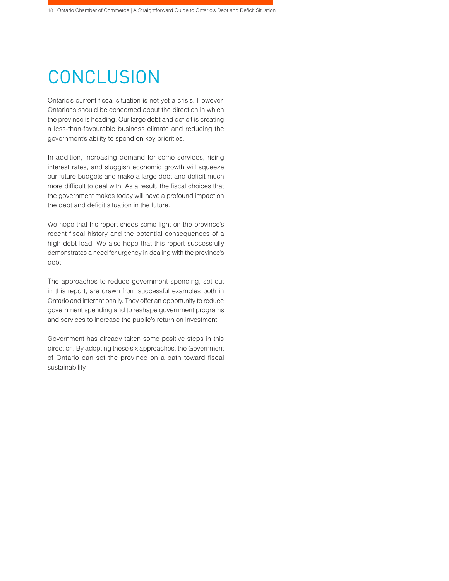# **CONCLUSION**

Ontario's current fiscal situation is not yet a crisis. However, Ontarians should be concerned about the direction in which the province is heading. Our large debt and deficit is creating a less-than-favourable business climate and reducing the government's ability to spend on key priorities.

In addition, increasing demand for some services, rising interest rates, and sluggish economic growth will squeeze our future budgets and make a large debt and deficit much more difficult to deal with. As a result, the fiscal choices that the government makes today will have a profound impact on the debt and deficit situation in the future.

We hope that his report sheds some light on the province's recent fiscal history and the potential consequences of a high debt load. We also hope that this report successfully demonstrates a need for urgency in dealing with the province's debt.

The approaches to reduce government spending, set out in this report, are drawn from successful examples both in Ontario and internationally. They offer an opportunity to reduce government spending and to reshape government programs and services to increase the public's return on investment.

Government has already taken some positive steps in this direction. By adopting these six approaches, the Government of Ontario can set the province on a path toward fiscal sustainability.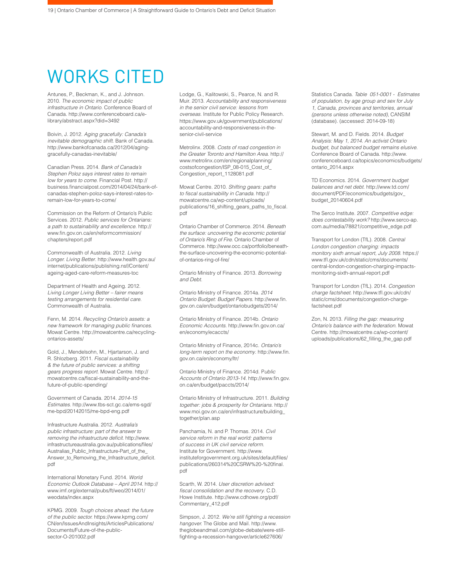# WORKS CITED

Antunes, P., Beckman, K., and J. Johnson. 2010. *The economic impact of public infrastructure in Ontario*. Conference Board of Canada. http://www.conferenceboard.ca/elibrary/abstract.aspx?did=3492

Boivin, J. 2012. *Aging gracefully: Canada's inevitable demographic shift*. Bank of Canada. http://www.bankofcanada.ca/2012/04/aginggracefully-canadas-inevitable/

Canadian Press. 2014. *Bank of Canada's Stephen Poloz says interest rates to remain low for years to come*. Financial Post. http:// business.financialpost.com/2014/04/24/bank-ofcanadas-stephen-poloz-says-interest-rates-toremain-low-for-years-to-come/

Commission on the Reform of Ontario's Public Services. 2012. *Public services for Ontarians: a path to sustainability and excellence*. http:// www.fin.gov.on.ca/en/reformcommission/ chapters/report.pdf

Commonwealth of Australia. 2012. *Living Longer. Living Better*. http://www.health.gov.au/ internet/publications/publishing.nsf/Content/ ageing-aged-care-reform-measures-toc

Department of Health and Ageing. 2012. *Living Longer Living Better – fairer means testing arrangements for residential care.*  Commonwealth of Australia.

Fenn, M. 2014. *Recycling Ontario's assets: a*  new framework for managing public finances. Mowat Centre. http://mowatcentre.ca/recyclingontarios-assets/

Gold, J., Mendelsohn, M., Hjartarson, J. and R. Shlozberg. 2011. *Fiscal sustainability & the future of public services: a shifting gears progress report*. Mowat Centre. http:// mowatcentre.ca/fiscal-sustainability-and-thefuture-of-public-spending/

Government of Canada. 2014. *2014-15 Estimates*. http://www.tbs-sct.gc.ca/ems-sgd/ me-bpd/20142015/me-bpd-eng.pdf

Infrastructure Australia. 2012. *Australia's public infrastructure: part of the answer to*  removing the infrastructure deficit. http://www. infrastructureaustralia.gov.au/publications/files/ Australias\_Public\_Infrastructure-Part\_of\_the\_ Answer\_to\_Removing\_the\_Infrastructure\_deficit. pdf

International Monetary Fund. 2014. *World Economic Outlook Database – April 2014*. http:// www.imf.org/external/pubs/ft/weo/2014/01/ weodata/index.aspx

KPMG. 2009. *Tough choices ahead: the future of the public sector.* https://www.kpmg.com/ CN/en/IssuesAndInsights/ArticlesPublications/ Documents/Future-of-the-publicsector-O-201002.pdf

Lodge, G., Kalitowski, S., Pearce, N. and R. Muir. 2013. *Accountability and responsiveness in the senior civil service: lessons from overseas*. Institute for Public Policy Research. https://www.gov.uk/government/publications/ accountability-and-responsiveness-in-thesenior-civil-service

Metrolinx. 2008. *Costs of road congestion in the Greater Toronto and Hamilton Area*. http:// www.metrolinx.com/en/regionalplanning/ costsofcongestion/ISP\_08-015\_Cost\_of\_ Congestion\_report\_1128081.pdf

Mowat Centre. 2010. *Shifting gears: paths*  to fiscal sustainability in Canada. http:// mowatcentre.ca/wp-content/uploads/ publications/16\_shifting\_gears\_paths\_to\_fiscal. pdf

Ontario Chamber of Commerce. 2014. *Beneath the surface: uncovering the economic potential of Ontario's Ring of Fire*. Ontario Chamber of Commerce. http://www.occ.ca/portfolio/beneaththe-surface-uncovering-the-economic-potentialof-ontarios-ring-of-fire/

Ontario Ministry of Finance. 2013. *Borrowing and Debt.*

Ontario Ministry of Finance. 2014a. *2014 Ontario Budget: Budget Papers*. http://www.fin. gov.on.ca/en/budget/ontariobudgets/2014/

Ontario Ministry of Finance. 2014b. *Ontario Economic Accounts*. http://www.fin.gov.on.ca/ en/economy/ecaccts/

Ontario Ministry of Finance, 2014c. *Ontario's long-term report on the economy*. http://www.fin. gov.on.ca/en/economy/ltr/

Ontario Ministry of Finance. 2014d. P*ublic Accounts of Ontario 2013-14*. http://www.fin.gov. on.ca/en/budget/paccts/2014/

Ontario Ministry of Infrastructure. 2011. *Building together: jobs & prosperity for Ontarians*. http:// www.moi.gov.on.ca/en/infrastructure/building\_ together/plan.asp

Panchamia, N. and P. Thomas. 2014. *Civil service reform in the real world: patterns of success in UK civil service reform.* Institute for Government. http://www. instituteforgovernment.org.uk/sites/default/files/ publications/260314%20CSRW%20-%20final. pdf

Scarth, W. 2014. *User discretion advised:*  fiscal consolidation and the recovery. C.D. Howe Institute. http://www.cdhowe.org/pdf/ Commentary\_412.pdf

Simpson, J. 2012. We're still fighting a recession *hangover.* The Globe and Mail. http://www. theglobeandmail.com/globe-debate/were-stillfighting-a-recession-hangover/article627606/

Statistics Canada. *Table 051-0001 - Estimates of population, by age group and sex for July 1, Canada, provinces and territories, annual (persons unless otherwise noted)*, CANSIM (database). (accessed: 2014-09-18)

Stewart, M. and D. Fields. 2014. *Budget Analysis: May 1, 2014. An activist Ontario budget, but balanced budget remains elusive*. Conference Board of Canada. http://www. conferenceboard.ca/topics/economics/budgets/ ontario\_2014.aspx

TD Economics. 2014. *Government budget balances and net debt*. http://www.td.com/ document/PDF/economics/budgets/gov\_ budget\_20140604.pdf

The Serco Institute. 2007. *Competitive edge: does contestability work?* http://www.serco-ap. com.au/media/78821/competitive\_edge.pdf

Transport for London (TfL). 2008. *Central London congestion charging: impacts monitory sixth annual report, July 2008*. https:// www.tfl.gov.uk/cdn/static/cms/documents/ central-london-congestion-charging-impactsmonitoring-sixth-annual-report.pdf

Transport for London (TfL). 2014. *Congestion charge factsheet*. http://www.tfl.gov.uk/cdn/ static/cms/documents/congestion-chargefactsheet.pdf

Zon, N. 2013. *Filling the gap: measuring Ontario's balance with the federation*. Mowat Centre. http://mowatcentre.ca/wp-content/ uploads/publications/62\_filling\_the\_gap.pdf